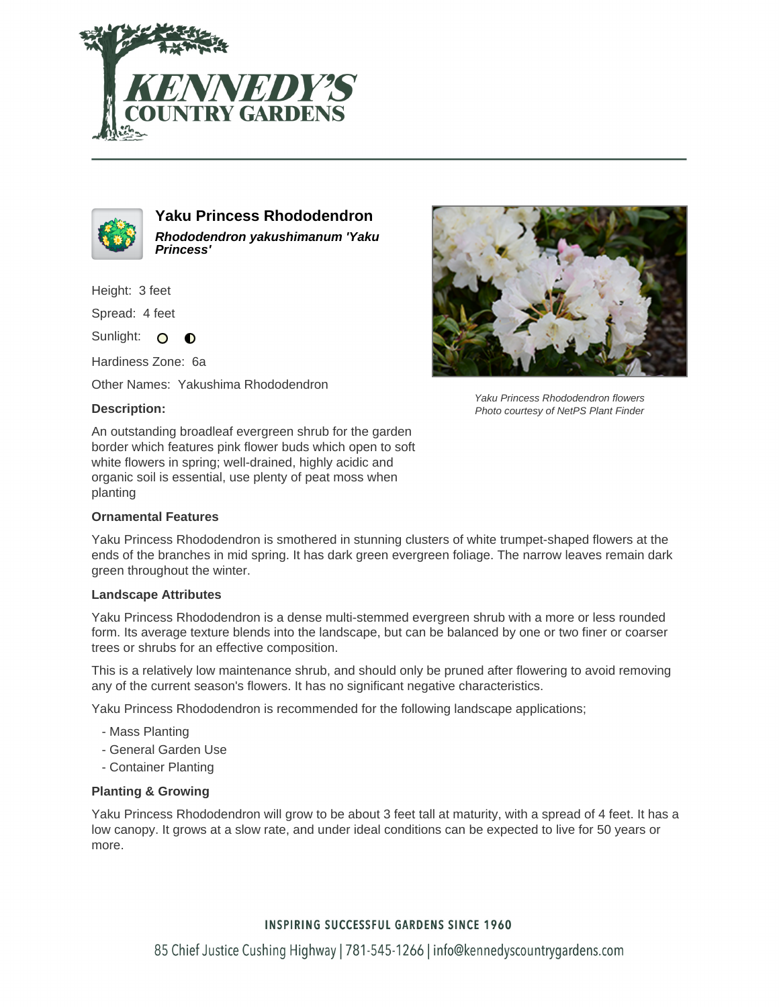



**Yaku Princess Rhododendron Rhododendron yakushimanum 'Yaku Princess'**

Height: 3 feet

Spread: 4 feet

Sunlight: O  $\bullet$ 

Hardiness Zone: 6a

Other Names: Yakushima Rhododendron

## **Description:**

An outstanding broadleaf evergreen shrub for the garden border which features pink flower buds which open to soft white flowers in spring; well-drained, highly acidic and organic soil is essential, use plenty of peat moss when planting

### **Ornamental Features**

Yaku Princess Rhododendron is smothered in stunning clusters of white trumpet-shaped flowers at the ends of the branches in mid spring. It has dark green evergreen foliage. The narrow leaves remain dark green throughout the winter.

### **Landscape Attributes**

Yaku Princess Rhododendron is a dense multi-stemmed evergreen shrub with a more or less rounded form. Its average texture blends into the landscape, but can be balanced by one or two finer or coarser trees or shrubs for an effective composition.

This is a relatively low maintenance shrub, and should only be pruned after flowering to avoid removing any of the current season's flowers. It has no significant negative characteristics.

Yaku Princess Rhododendron is recommended for the following landscape applications;

- Mass Planting
- General Garden Use
- Container Planting

### **Planting & Growing**

Yaku Princess Rhododendron will grow to be about 3 feet tall at maturity, with a spread of 4 feet. It has a low canopy. It grows at a slow rate, and under ideal conditions can be expected to live for 50 years or more.

# **INSPIRING SUCCESSFUL GARDENS SINCE 1960**



Yaku Princess Rhododendron flowers Photo courtesy of NetPS Plant Finder